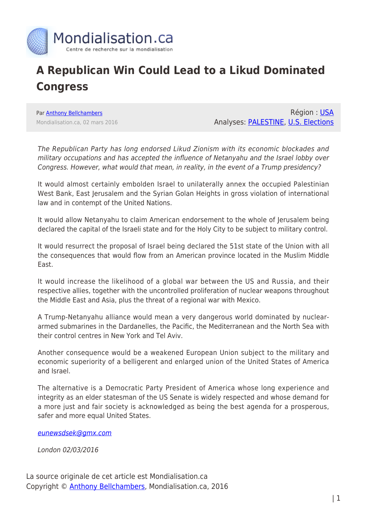

## **A Republican Win Could Lead to a Likud Dominated Congress**

Par [Anthony Bellchambers](https://www.mondialisation.ca/author/bellchambers) Mondialisation.ca, 02 mars 2016

Région : [USA](https://www.mondialisation.ca/region/usa) Analyses: [PALESTINE,](https://www.mondialisation.ca/indepthreport/palestine) [U.S. Elections](https://www.mondialisation.ca/indepthreport/u-s-elections)

The Republican Party has long endorsed Likud Zionism with its economic blockades and military occupations and has accepted the influence of Netanyahu and the Israel lobby over Congress. However, what would that mean, in reality, in the event of a Trump presidency?

It would almost certainly embolden Israel to unilaterally annex the occupied Palestinian West Bank, East Jerusalem and the Syrian Golan Heights in gross violation of international law and in contempt of the United Nations.

It would allow Netanyahu to claim American endorsement to the whole of Jerusalem being declared the capital of the Israeli state and for the Holy City to be subject to military control.

It would resurrect the proposal of Israel being declared the 51st state of the Union with all the consequences that would flow from an American province located in the Muslim Middle East.

It would increase the likelihood of a global war between the US and Russia, and their respective allies, together with the uncontrolled proliferation of nuclear weapons throughout the Middle East and Asia, plus the threat of a regional war with Mexico.

A Trump-Netanyahu alliance would mean a very dangerous world dominated by nucleararmed submarines in the Dardanelles, the Pacific, the Mediterranean and the North Sea with their control centres in New York and Tel Aviv.

Another consequence would be a weakened European Union subject to the military and economic superiority of a belligerent and enlarged union of the United States of America and Israel.

The alternative is a Democratic Party President of America whose long experience and integrity as an elder statesman of the US Senate is widely respected and whose demand for a more just and fair society is acknowledged as being the best agenda for a prosperous, safer and more equal United States.

[eunewsdsek@gmx.com](mailto:eunewsdsek@gmx.com)

London 02/03/2016

La source originale de cet article est Mondialisation.ca Copyright © [Anthony Bellchambers](https://www.mondialisation.ca/author/bellchambers), Mondialisation.ca, 2016